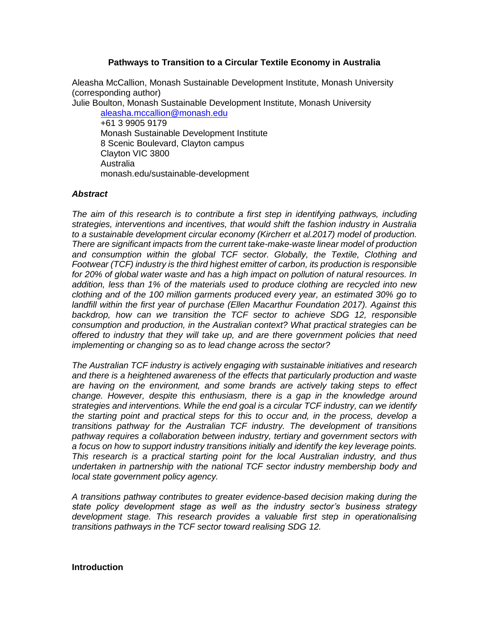### **Pathways to Transition to a Circular Textile Economy in Australia**

Aleasha McCallion, Monash Sustainable Development Institute, Monash University (corresponding author)

Julie Boulton, Monash Sustainable Development Institute, Monash University

[aleasha.mccallion@monash.edu](mailto:aleasha.mccallion@monash.edu) +61 3 9905 9179 Monash Sustainable Development Institute 8 Scenic Boulevard, Clayton campus Clayton VIC 3800 Australia monash.edu/sustainable-development

### *Abstract*

*The aim of this research is to contribute a first step in identifying pathways, including strategies, interventions and incentives, that would shift the fashion industry in Australia to a sustainable development circular economy (Kircherr et al.2017) model of production. There are significant impacts from the current take-make-waste linear model of production and consumption within the global TCF sector. Globally, the Textile, Clothing and Footwear (TCF) industry is the third highest emitter of carbon, its production is responsible for 20% of global water waste and has a high impact on pollution of natural resources. In addition, less than 1% of the materials used to produce clothing are recycled into new clothing and of the 100 million garments produced every year, an estimated 30% go to landfill within the first year of purchase (Ellen Macarthur Foundation 2017). Against this backdrop, how can we transition the TCF sector to achieve SDG 12, responsible consumption and production, in the Australian context? What practical strategies can be offered to industry that they will take up, and are there government policies that need implementing or changing so as to lead change across the sector?* 

*The Australian TCF industry is actively engaging with sustainable initiatives and research and there is a heightened awareness of the effects that particularly production and waste are having on the environment, and some brands are actively taking steps to effect change. However, despite this enthusiasm, there is a gap in the knowledge around strategies and interventions. While the end goal is a circular TCF industry, can we identify the starting point and practical steps for this to occur and, in the process, develop a transitions pathway for the Australian TCF industry. The development of transitions pathway requires a collaboration between industry, tertiary and government sectors with a focus on how to support industry transitions initially and identify the key leverage points. This research is a practical starting point for the local Australian industry, and thus undertaken in partnership with the national TCF sector industry membership body and local state government policy agency.* 

*A transitions pathway contributes to greater evidence-based decision making during the state policy development stage as well as the industry sector's business strategy development stage. This research provides a valuable first step in operationalising transitions pathways in the TCF sector toward realising SDG 12.* 

#### **Introduction**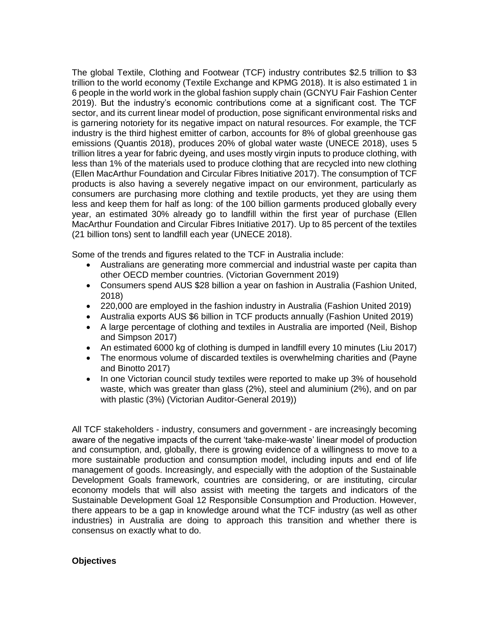The global Textile, Clothing and Footwear (TCF) industry contributes \$2.5 trillion to \$3 trillion to the world economy (Textile Exchange and KPMG 2018). It is also estimated 1 in 6 people in the world work in the global fashion supply chain (GCNYU Fair Fashion Center 2019). But the industry's economic contributions come at a significant cost. The TCF sector, and its current linear model of production, pose significant environmental risks and is garnering notoriety for its negative impact on natural resources. For example, the TCF industry is the third highest emitter of carbon, accounts for 8% of global greenhouse gas emissions (Quantis 2018), produces 20% of global water waste (UNECE 2018), uses 5 trillion litres a year for fabric dyeing, and uses mostly virgin inputs to produce clothing, with less than 1% of the materials used to produce clothing that are recycled into new clothing (Ellen MacArthur Foundation and Circular Fibres Initiative 2017). The consumption of TCF products is also having a severely negative impact on our environment, particularly as consumers are purchasing more clothing and textile products, yet they are using them less and keep them for half as long: of the 100 billion garments produced globally every year, an estimated 30% already go to landfill within the first year of purchase (Ellen MacArthur Foundation and Circular Fibres Initiative 2017). Up to 85 percent of the textiles (21 billion tons) sent to landfill each year (UNECE 2018).

Some of the trends and figures related to the TCF in Australia include:

- Australians are generating more commercial and industrial waste per capita than other OECD member countries. (Victorian Government 2019)
- Consumers spend AUS \$28 billion a year on fashion in Australia (Fashion United, 2018)
- 220,000 are employed in the fashion industry in Australia (Fashion United 2019)
- Australia exports AUS \$6 billion in TCF products annually (Fashion United 2019)
- A large percentage of clothing and textiles in Australia are imported (Neil, Bishop and Simpson 2017)
- An estimated 6000 kg of clothing is dumped in landfill every 10 minutes (Liu 2017)
- The enormous volume of discarded textiles is overwhelming charities and (Payne and Binotto 2017)
- In one Victorian council study textiles were reported to make up 3% of household waste, which was greater than glass (2%), steel and aluminium (2%), and on par with plastic (3%) (Victorian Auditor-General 2019))

All TCF stakeholders - industry, consumers and government - are increasingly becoming aware of the negative impacts of the current 'take-make-waste' linear model of production and consumption, and, globally, there is growing evidence of a willingness to move to a more sustainable production and consumption model, including inputs and end of life management of goods. Increasingly, and especially with the adoption of the Sustainable Development Goals framework, countries are considering, or are instituting, circular economy models that will also assist with meeting the targets and indicators of the Sustainable Development Goal 12 Responsible Consumption and Production. However, there appears to be a gap in knowledge around what the TCF industry (as well as other industries) in Australia are doing to approach this transition and whether there is consensus on exactly what to do.

### **Objectives**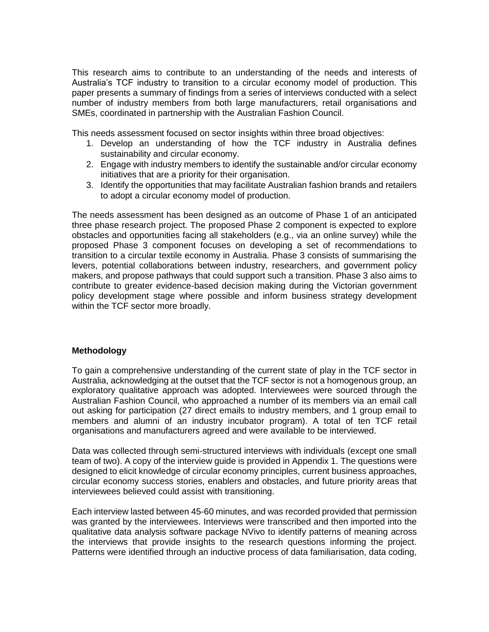This research aims to contribute to an understanding of the needs and interests of Australia's TCF industry to transition to a circular economy model of production. This paper presents a summary of findings from a series of interviews conducted with a select number of industry members from both large manufacturers, retail organisations and SMEs, coordinated in partnership with the Australian Fashion Council.

This needs assessment focused on sector insights within three broad objectives:

- 1. Develop an understanding of how the TCF industry in Australia defines sustainability and circular economy.
- 2. Engage with industry members to identify the sustainable and/or circular economy initiatives that are a priority for their organisation.
- 3. Identify the opportunities that may facilitate Australian fashion brands and retailers to adopt a circular economy model of production.

The needs assessment has been designed as an outcome of Phase 1 of an anticipated three phase research project. The proposed Phase 2 component is expected to explore obstacles and opportunities facing all stakeholders (e.g., via an online survey) while the proposed Phase 3 component focuses on developing a set of recommendations to transition to a circular textile economy in Australia. Phase 3 consists of summarising the levers, potential collaborations between industry, researchers, and government policy makers, and propose pathways that could support such a transition. Phase 3 also aims to contribute to greater evidence-based decision making during the Victorian government policy development stage where possible and inform business strategy development within the TCF sector more broadly.

# **Methodology**

To gain a comprehensive understanding of the current state of play in the TCF sector in Australia, acknowledging at the outset that the TCF sector is not a homogenous group, an exploratory qualitative approach was adopted. Interviewees were sourced through the Australian Fashion Council, who approached a number of its members via an email call out asking for participation (27 direct emails to industry members, and 1 group email to members and alumni of an industry incubator program). A total of ten TCF retail organisations and manufacturers agreed and were available to be interviewed.

Data was collected through semi-structured interviews with individuals (except one small team of two). A copy of the interview guide is provided in Appendix 1. The questions were designed to elicit knowledge of circular economy principles, current business approaches, circular economy success stories, enablers and obstacles, and future priority areas that interviewees believed could assist with transitioning.

Each interview lasted between 45-60 minutes, and was recorded provided that permission was granted by the interviewees. Interviews were transcribed and then imported into the qualitative data analysis software package NVivo to identify patterns of meaning across the interviews that provide insights to the research questions informing the project. Patterns were identified through an inductive process of data familiarisation, data coding,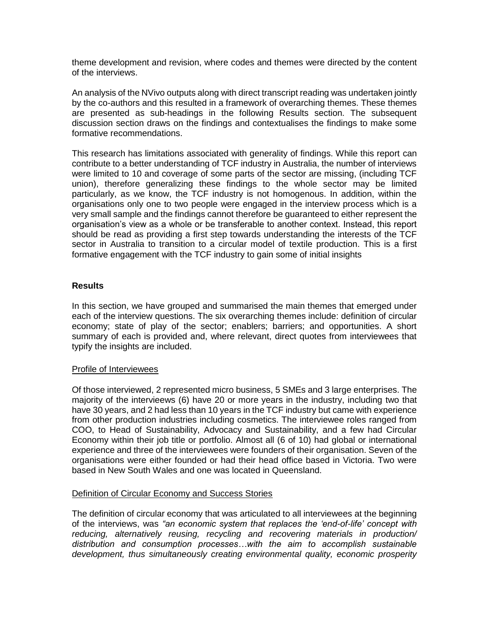theme development and revision, where codes and themes were directed by the content of the interviews.

An analysis of the NVivo outputs along with direct transcript reading was undertaken jointly by the co-authors and this resulted in a framework of overarching themes. These themes are presented as sub-headings in the following Results section. The subsequent discussion section draws on the findings and contextualises the findings to make some formative recommendations.

This research has limitations associated with generality of findings. While this report can contribute to a better understanding of TCF industry in Australia, the number of interviews were limited to 10 and coverage of some parts of the sector are missing, (including TCF union), therefore generalizing these findings to the whole sector may be limited particularly, as we know, the TCF industry is not homogenous. In addition, within the organisations only one to two people were engaged in the interview process which is a very small sample and the findings cannot therefore be guaranteed to either represent the organisation's view as a whole or be transferable to another context. Instead, this report should be read as providing a first step towards understanding the interests of the TCF sector in Australia to transition to a circular model of textile production. This is a first formative engagement with the TCF industry to gain some of initial insights

# **Results**

In this section, we have grouped and summarised the main themes that emerged under each of the interview questions. The six overarching themes include: definition of circular economy; state of play of the sector; enablers; barriers; and opportunities. A short summary of each is provided and, where relevant, direct quotes from interviewees that typify the insights are included.

### Profile of Interviewees

Of those interviewed, 2 represented micro business, 5 SMEs and 3 large enterprises. The majority of the intervieews (6) have 20 or more years in the industry, including two that have 30 years, and 2 had less than 10 years in the TCF industry but came with experience from other production industries including cosmetics. The interviewee roles ranged from COO, to Head of Sustainability, Advocacy and Sustainability, and a few had Circular Economy within their job title or portfolio. Almost all (6 of 10) had global or international experience and three of the interviewees were founders of their organisation. Seven of the organisations were either founded or had their head office based in Victoria. Two were based in New South Wales and one was located in Queensland.

### Definition of Circular Economy and Success Stories

The definition of circular economy that was articulated to all interviewees at the beginning of the interviews, was *"an economic system that replaces the 'end-of-life' concept with reducing, alternatively reusing, recycling and recovering materials in production/ distribution and consumption processes…with the aim to accomplish sustainable development, thus simultaneously creating environmental quality, economic prosperity*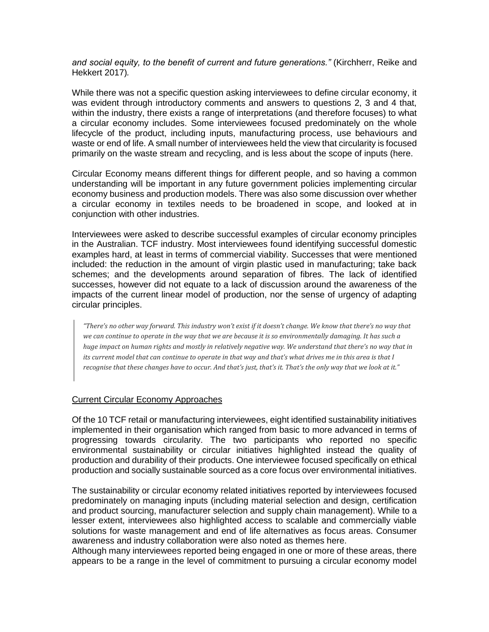*and social equity, to the benefit of current and future generations."* (Kirchherr, Reike and Hekkert 2017)*.*

While there was not a specific question asking interviewees to define circular economy, it was evident through introductory comments and answers to questions 2, 3 and 4 that, within the industry, there exists a range of interpretations (and therefore focuses) to what a circular economy includes. Some interviewees focused predominately on the whole lifecycle of the product, including inputs, manufacturing process, use behaviours and waste or end of life. A small number of interviewees held the view that circularity is focused primarily on the waste stream and recycling, and is less about the scope of inputs (here.

Circular Economy means different things for different people, and so having a common understanding will be important in any future government policies implementing circular economy business and production models. There was also some discussion over whether a circular economy in textiles needs to be broadened in scope, and looked at in conjunction with other industries.

Interviewees were asked to describe successful examples of circular economy principles in the Australian. TCF industry. Most interviewees found identifying successful domestic examples hard, at least in terms of commercial viability. Successes that were mentioned included: the reduction in the amount of virgin plastic used in manufacturing; take back schemes; and the developments around separation of fibres. The lack of identified successes, however did not equate to a lack of discussion around the awareness of the impacts of the current linear model of production, nor the sense of urgency of adapting circular principles.

*"There's no other way forward. This industry won't exist if it doesn't change. We know that there's no way that we can continue to operate in the way that we are because it is so environmentally damaging. It has such a huge impact on human rights and mostly in relatively negative way. We understand that there's no way that in its current model that can continue to operate in that way and that's what drives me in this area is that I recognise that these changes have to occur. And that's just, that's it. That's the only way that we look at it."*

### Current Circular Economy Approaches

Of the 10 TCF retail or manufacturing interviewees, eight identified sustainability initiatives implemented in their organisation which ranged from basic to more advanced in terms of progressing towards circularity. The two participants who reported no specific environmental sustainability or circular initiatives highlighted instead the quality of production and durability of their products. One interviewee focused specifically on ethical production and socially sustainable sourced as a core focus over environmental initiatives.

The sustainability or circular economy related initiatives reported by interviewees focused predominately on managing inputs (including material selection and design, certification and product sourcing, manufacturer selection and supply chain management). While to a lesser extent, interviewees also highlighted access to scalable and commercially viable solutions for waste management and end of life alternatives as focus areas. Consumer awareness and industry collaboration were also noted as themes here.

Although many interviewees reported being engaged in one or more of these areas, there appears to be a range in the level of commitment to pursuing a circular economy model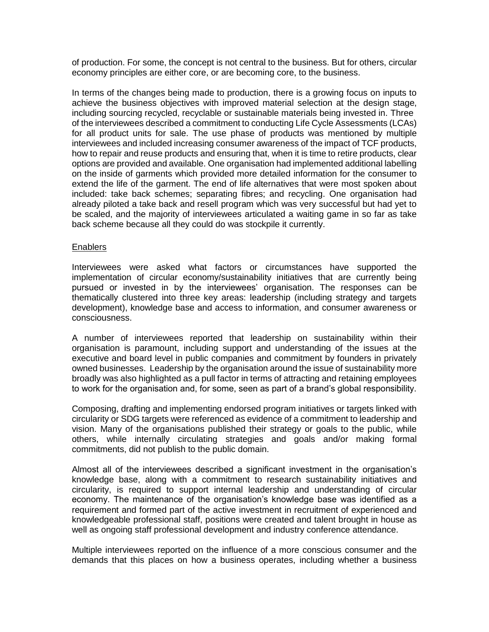of production. For some, the concept is not central to the business. But for others, circular economy principles are either core, or are becoming core, to the business.

In terms of the changes being made to production, there is a growing focus on inputs to achieve the business objectives with improved material selection at the design stage, including sourcing recycled, recyclable or sustainable materials being invested in. Three of the interviewees described a commitment to conducting Life Cycle Assessments (LCAs) for all product units for sale. The use phase of products was mentioned by multiple interviewees and included increasing consumer awareness of the impact of TCF products, how to repair and reuse products and ensuring that, when it is time to retire products, clear options are provided and available. One organisation had implemented additional labelling on the inside of garments which provided more detailed information for the consumer to extend the life of the garment. The end of life alternatives that were most spoken about included: take back schemes; separating fibres; and recycling. One organisation had already piloted a take back and resell program which was very successful but had yet to be scaled, and the majority of interviewees articulated a waiting game in so far as take back scheme because all they could do was stockpile it currently.

### Enablers

Interviewees were asked what factors or circumstances have supported the implementation of circular economy/sustainability initiatives that are currently being pursued or invested in by the interviewees' organisation. The responses can be thematically clustered into three key areas: leadership (including strategy and targets development), knowledge base and access to information, and consumer awareness or consciousness.

A number of interviewees reported that leadership on sustainability within their organisation is paramount, including support and understanding of the issues at the executive and board level in public companies and commitment by founders in privately owned businesses. Leadership by the organisation around the issue of sustainability more broadly was also highlighted as a pull factor in terms of attracting and retaining employees to work for the organisation and, for some, seen as part of a brand's global responsibility.

Composing, drafting and implementing endorsed program initiatives or targets linked with circularity or SDG targets were referenced as evidence of a commitment to leadership and vision. Many of the organisations published their strategy or goals to the public, while others, while internally circulating strategies and goals and/or making formal commitments, did not publish to the public domain.

Almost all of the interviewees described a significant investment in the organisation's knowledge base, along with a commitment to research sustainability initiatives and circularity, is required to support internal leadership and understanding of circular economy. The maintenance of the organisation's knowledge base was identified as a requirement and formed part of the active investment in recruitment of experienced and knowledgeable professional staff, positions were created and talent brought in house as well as ongoing staff professional development and industry conference attendance.

Multiple interviewees reported on the influence of a more conscious consumer and the demands that this places on how a business operates, including whether a business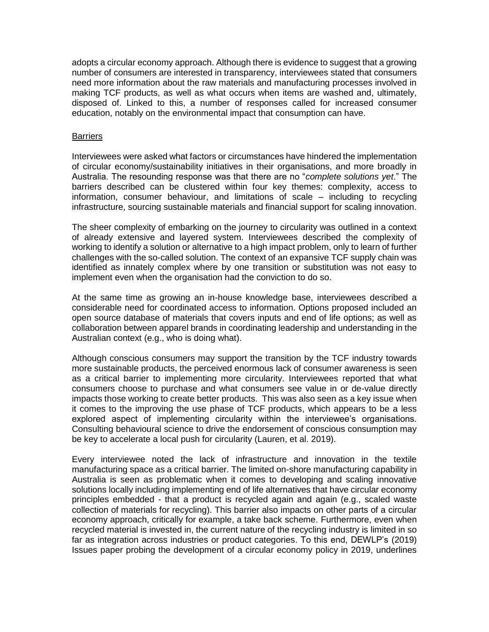adopts a circular economy approach. Although there is evidence to suggest that a growing number of consumers are interested in transparency, interviewees stated that consumers need more information about the raw materials and manufacturing processes involved in making TCF products, as well as what occurs when items are washed and, ultimately, disposed of. Linked to this, a number of responses called for increased consumer education, notably on the environmental impact that consumption can have.

### **Barriers**

Interviewees were asked what factors or circumstances have hindered the implementation of circular economy/sustainability initiatives in their organisations, and more broadly in Australia. The resounding response was that there are no "*complete solutions yet*." The barriers described can be clustered within four key themes: complexity, access to information, consumer behaviour, and limitations of scale – including to recycling infrastructure, sourcing sustainable materials and financial support for scaling innovation.

The sheer complexity of embarking on the journey to circularity was outlined in a context of already extensive and layered system. Interviewees described the complexity of working to identify a solution or alternative to a high impact problem, only to learn of further challenges with the so-called solution. The context of an expansive TCF supply chain was identified as innately complex where by one transition or substitution was not easy to implement even when the organisation had the conviction to do so.

At the same time as growing an in-house knowledge base, interviewees described a considerable need for coordinated access to information. Options proposed included an open source database of materials that covers inputs and end of life options; as well as collaboration between apparel brands in coordinating leadership and understanding in the Australian context (e.g., who is doing what).

Although conscious consumers may support the transition by the TCF industry towards more sustainable products, the perceived enormous lack of consumer awareness is seen as a critical barrier to implementing more circularity. Interviewees reported that what consumers choose to purchase and what consumers see value in or de-value directly impacts those working to create better products. This was also seen as a key issue when it comes to the improving the use phase of TCF products, which appears to be a less explored aspect of implementing circularity within the interviewee's organisations. Consulting behavioural science to drive the endorsement of conscious consumption may be key to accelerate a local push for circularity (Lauren, et al. 2019).

Every interviewee noted the lack of infrastructure and innovation in the textile manufacturing space as a critical barrier. The limited on-shore manufacturing capability in Australia is seen as problematic when it comes to developing and scaling innovative solutions locally including implementing end of life alternatives that have circular economy principles embedded - that a product is recycled again and again (e.g., scaled waste collection of materials for recycling). This barrier also impacts on other parts of a circular economy approach, critically for example, a take back scheme. Furthermore, even when recycled material is invested in, the current nature of the recycling industry is limited in so far as integration across industries or product categories. To this end, DEWLP's (2019) Issues paper probing the development of a circular economy policy in 2019, underlines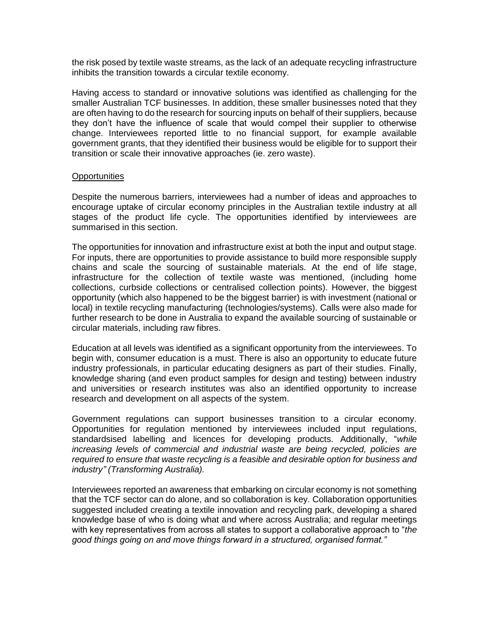the risk posed by textile waste streams, as the lack of an adequate recycling infrastructure inhibits the transition towards a circular textile economy.

Having access to standard or innovative solutions was identified as challenging for the smaller Australian TCF businesses. In addition, these smaller businesses noted that they are often having to do the research for sourcing inputs on behalf of their suppliers, because they don't have the influence of scale that would compel their supplier to otherwise change. Interviewees reported little to no financial support, for example available government grants, that they identified their business would be eligible for to support their transition or scale their innovative approaches (ie. zero waste).

#### **Opportunities**

Despite the numerous barriers, interviewees had a number of ideas and approaches to encourage uptake of circular economy principles in the Australian textile industry at all stages of the product life cycle. The opportunities identified by interviewees are summarised in this section.

The opportunities for innovation and infrastructure exist at both the input and output stage. For inputs, there are opportunities to provide assistance to build more responsible supply chains and scale the sourcing of sustainable materials. At the end of life stage, infrastructure for the collection of textile waste was mentioned, (including home collections, curbside collections or centralised collection points). However, the biggest opportunity (which also happened to be the biggest barrier) is with investment (national or local) in textile recycling manufacturing (technologies/systems). Calls were also made for further research to be done in Australia to expand the available sourcing of sustainable or circular materials, including raw fibres.

Education at all levels was identified as a significant opportunity from the interviewees. To begin with, consumer education is a must. There is also an opportunity to educate future industry professionals, in particular educating designers as part of their studies. Finally, knowledge sharing (and even product samples for design and testing) between industry and universities or research institutes was also an identified opportunity to increase research and development on all aspects of the system.

Government regulations can support businesses transition to a circular economy. Opportunities for regulation mentioned by interviewees included input regulations, standardsised labelling and licences for developing products. Additionally, "*while increasing levels of commercial and industrial waste are being recycled, policies are required to ensure that waste recycling is a feasible and desirable option for business and industry" (Transforming Australia).* 

Interviewees reported an awareness that embarking on circular economy is not something that the TCF sector can do alone, and so collaboration is key. Collaboration opportunities suggested included creating a textile innovation and recycling park, developing a shared knowledge base of who is doing what and where across Australia; and regular meetings with key representatives from across all states to support a collaborative approach to "*the good things going on and move things forward in a structured, organised format."*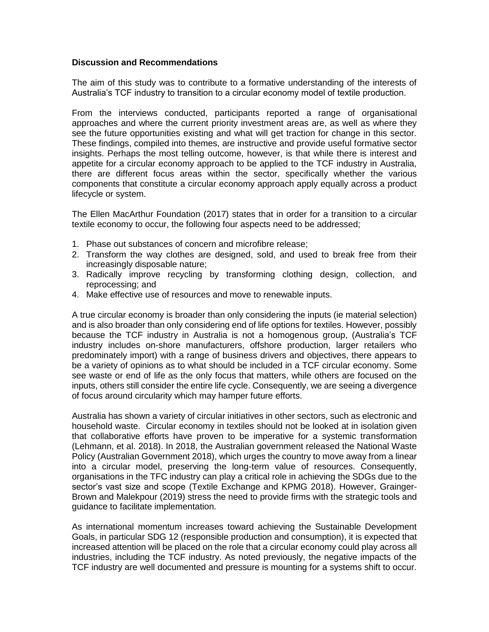### **Discussion and Recommendations**

The aim of this study was to contribute to a formative understanding of the interests of Australia's TCF industry to transition to a circular economy model of textile production.

From the interviews conducted, participants reported a range of organisational approaches and where the current priority investment areas are, as well as where they see the future opportunities existing and what will get traction for change in this sector. These findings, compiled into themes, are instructive and provide useful formative sector insights. Perhaps the most telling outcome, however, is that while there is interest and appetite for a circular economy approach to be applied to the TCF industry in Australia, there are different focus areas within the sector, specifically whether the various components that constitute a circular economy approach apply equally across a product lifecycle or system.

The Ellen MacArthur Foundation (2017) states that in order for a transition to a circular textile economy to occur, the following four aspects need to be addressed;

- 1. Phase out substances of concern and microfibre release;
- 2. Transform the way clothes are designed, sold, and used to break free from their increasingly disposable nature;
- 3. Radically improve recycling by transforming clothing design, collection, and reprocessing; and
- 4. Make effective use of resources and move to renewable inputs.

A true circular economy is broader than only considering the inputs (ie material selection) and is also broader than only considering end of life options for textiles. However, possibly because the TCF industry in Australia is not a homogenous group, (Australia's TCF industry includes on-shore manufacturers, offshore production, larger retailers who predominately import) with a range of business drivers and objectives, there appears to be a variety of opinions as to what should be included in a TCF circular economy. Some see waste or end of life as the only focus that matters, while others are focused on the inputs, others still consider the entire life cycle. Consequently, we are seeing a divergence of focus around circularity which may hamper future efforts.

Australia has shown a variety of circular initiatives in other sectors, such as electronic and household waste. Circular economy in textiles should not be looked at in isolation given that collaborative efforts have proven to be imperative for a systemic transformation (Lehmann, et al. 2018). In 2018, the Australian government released the National Waste Policy (Australian Government 2018), which urges the country to move away from a linear into a circular model, preserving the long-term value of resources. Consequently, organisations in the TFC industry can play a critical role in achieving the SDGs due to the sector's vast size and scope (Textile Exchange and KPMG 2018). However, Grainger-Brown and Malekpour (2019) stress the need to provide firms with the strategic tools and guidance to facilitate implementation.

As international momentum increases toward achieving the Sustainable Development Goals, in particular SDG 12 (responsible production and consumption), it is expected that increased attention will be placed on the role that a circular economy could play across all industries, including the TCF industry. As noted previously, the negative impacts of the TCF industry are well documented and pressure is mounting for a systems shift to occur.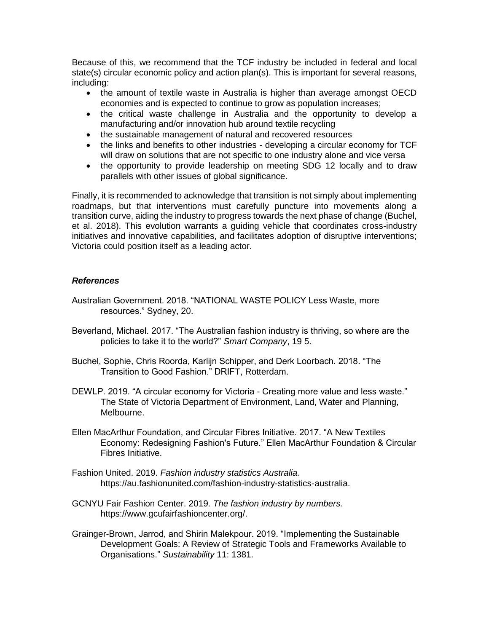Because of this, we recommend that the TCF industry be included in federal and local state(s) circular economic policy and action plan(s). This is important for several reasons, including:

- the amount of textile waste in Australia is higher than average amongst OECD economies and is expected to continue to grow as population increases;
- the critical waste challenge in Australia and the opportunity to develop a manufacturing and/or innovation hub around textile recycling
- the sustainable management of natural and recovered resources
- the links and benefits to other industries developing a circular economy for TCF will draw on solutions that are not specific to one industry alone and vice versa
- the opportunity to provide leadership on meeting SDG 12 locally and to draw parallels with other issues of global significance.

Finally, it is recommended to acknowledge that transition is not simply about implementing roadmaps, but that interventions must carefully puncture into movements along a transition curve, aiding the industry to progress towards the next phase of change (Buchel, et al. 2018). This evolution warrants a guiding vehicle that coordinates cross-industry initiatives and innovative capabilities, and facilitates adoption of disruptive interventions; Victoria could position itself as a leading actor.

# *References*

- Australian Government. 2018. "NATIONAL WASTE POLICY Less Waste, more resources." Sydney, 20.
- Beverland, Michael. 2017. "The Australian fashion industry is thriving, so where are the policies to take it to the world?" *Smart Company*, 19 5.
- Buchel, Sophie, Chris Roorda, Karlijn Schipper, and Derk Loorbach. 2018. "The Transition to Good Fashion." DRIFT, Rotterdam.
- DEWLP. 2019. "A circular economy for Victoria Creating more value and less waste." The State of Victoria Department of Environment, Land, Water and Planning, Melbourne.
- Ellen MacArthur Foundation, and Circular Fibres Initiative. 2017. "A New Textiles Economy: Redesigning Fashion's Future." Ellen MacArthur Foundation & Circular Fibres Initiative.
- Fashion United. 2019. *Fashion industry statistics Australia.* https://au.fashionunited.com/fashion-industry-statistics-australia.
- GCNYU Fair Fashion Center. 2019. *The fashion industry by numbers.* https://www.gcufairfashioncenter.org/.
- Grainger-Brown, Jarrod, and Shirin Malekpour. 2019. "Implementing the Sustainable Development Goals: A Review of Strategic Tools and Frameworks Available to Organisations." *Sustainability* 11: 1381.